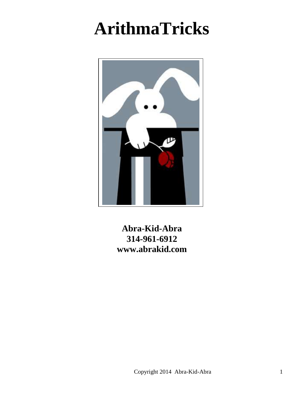# **ArithmaTricks**



**Abra-Kid-Abra 314-961-6912 www.abrakid.com**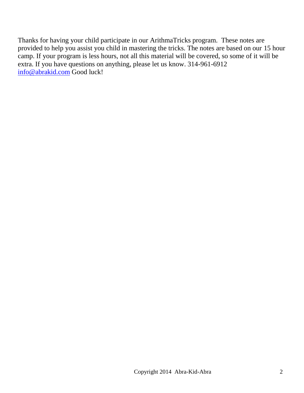Thanks for having your child participate in our ArithmaTricks program. These notes are provided to help you assist you child in mastering the tricks. The notes are based on our 15 hour camp. If your program is less hours, not all this material will be covered, so some of it will be extra. If you have questions on anything, please let us know. 314-961-6912 [info@abrakid.com](mailto:info@abrakid.com) Good luck!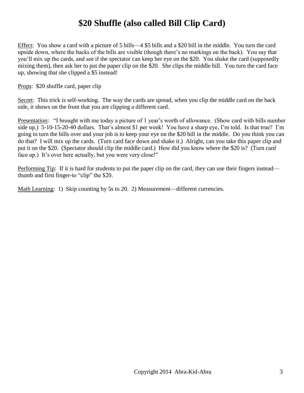# **\$20 Shuffle (also called Bill Clip Card)**

Effect: You show a card with a picture of 5 bills—4 \$5 bills and a \$20 bill in the middle. You turn the card upside down, where the backs of the bills are visible (though there's no markings on the back). You say that you'll mix up the cards, and see if the spectator can keep her eye on the \$20. You shake the card (supposedly mixing them), then ask her to put the paper clip on the \$20. She clips the middle bill. You turn the card face up, showing that she clipped a \$5 instead!

Props: \$20 shuffle card, paper clip

Secret: This trick is self-working. The way the cards are spread, when you clip the middle card on the back side, it shows on the front that you are clipping a different card.

Presentation: "I brought with me today a picture of 1 year's worth of allowance. (Show card with bills number side up.) 5-10-15-20-40 dollars. That's almost \$1 per week! You have a sharp eye, I'm told. Is that true? I'm going to turn the bills over and your job is to keep your eye on the \$20 bill in the middle. Do you think you can do that? I will mix up the cards. (Turn card face down and shake it.) Alright, can you take this paper clip and put it on the \$20. (Spectator should clip the middle card.) How did you know where the \$20 is? (Turn card face up.) It's over here actually, but you were very close!"

Performing Tip: If it is hard for students to put the paper clip on the card, they can use their fingers instead thumb and first finger-to "clip" the \$20.

Math Learning: 1) Skip counting by 5s to 20. 2) Measurement—different currencies.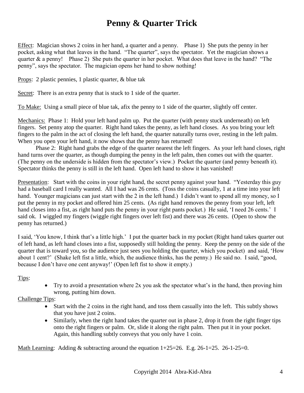### **Penny & Quarter Trick**

Effect: Magician shows 2 coins in her hand, a quarter and a penny. Phase 1) She puts the penny in her pocket, asking what that leaves in the hand. "The quarter", says the spectator. Yet the magician shows a quarter & a penny! Phase 2) She puts the quarter in her pocket. What does that leave in the hand? "The penny", says the spectator. The magician opens her hand to show nothing!

Props: 2 plastic pennies, 1 plastic quarter, & blue tak

Secret: There is an extra penny that is stuck to 1 side of the quarter.

To Make: Using a small piece of blue tak, afix the penny to 1 side of the quarter, slightly off center.

Mechanics: Phase 1: Hold your left hand palm up. Put the quarter (with penny stuck underneath) on left fingers. Set penny atop the quarter. Right hand takes the penny, as left hand closes. As you bring your left fingers to the palm in the act of closing the left hand, the quarter naturally turns over, resting in the left palm. When you open your left hand, it now shows that the penny has returned!

Phase 2: Right hand grabs the edge of the quarter nearest the left fingers. As your left hand closes, right hand turns over the quarter, as though dumping the penny in the left palm, then comes out with the quarter. (The penny on the underside is hidden from the spectator's view.) Pocket the quarter (and penny beneath it). Spectator thinks the penny is still in the left hand. Open left hand to show it has vanished!

Presentation: Start with the coins in your right hand, the secret penny against your hand. "Yesterday this guy had a baseball card I really wanted. All I had was 26 cents. (Toss the coins casually, 1 at a time into your left hand. Younger magicians can just start with the 2 in the left hand.) I didn't want to spend all my money, so I put the penny in my pocket and offered him 25 cents. (As right hand removes the penny from your left, left hand closes into a fist, as right hand puts the penny in your right pants pocket.) He said, 'I need 26 cents.' I said ok. I wiggled my fingers (wiggle right fingers over left fist) and there was 26 cents. (Open to show the penny has returned.)

I said, 'You know, I think that's a little high.' I put the quarter back in my pocket (Right hand takes quarter out of left hand, as left hand closes into a fist, supposedly still holding the penny. Keep the penny on the side of the quarter that is toward you, so the audience just sees you holding the quarter, which you pocket) and said, 'How about 1 cent?' (Shake left fist a little, which, the audience thinks, has the penny.) He said no. I said, "good, because I don't have one cent anyway!' (Open left fist to show it empty.)

#### Tips:

 Try to avoid a presentation where 2x you ask the spectator what's in the hand, then proving him wrong, putting him down.

#### Challenge Tips:

- Start with the 2 coins in the right hand, and toss them casually into the left. This subtly shows that you have just 2 coins.
- Similarly, when the right hand takes the quarter out in phase 2, drop it from the right finger tips onto the right fingers or palm. Or, slide it along the right palm. Then put it in your pocket. Again, this handling subtly conveys that you only have 1 coin.

Math Learning: Adding & subtracting around the equation  $1+25=26$ . E.g.  $26-1=25$ . 26-1-25=0.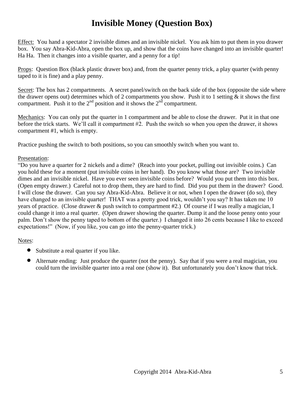# **Invisible Money (Question Box)**

Effect: You hand a spectator 2 invisible dimes and an invisible nickel. You ask him to put them in you drawer box. You say Abra-Kid-Abra, open the box up, and show that the coins have changed into an invisible quarter! Ha Ha. Then it changes into a visible quarter, and a penny for a tip!

Props: Question Box (black plastic drawer box) and, from the quarter penny trick, a play quarter (with penny taped to it is fine) and a play penny.

Secret: The box has 2 compartments. A secret panel/switch on the back side of the box (opposite the side where the drawer opens out) determines which of 2 compartments you show. Push it to 1 setting & it shows the first compartment. Push it to the  $2<sup>nd</sup>$  position and it shows the  $2<sup>nd</sup>$  compartment.

Mechanics: You can only put the quarter in 1 compartment and be able to close the drawer. Put it in that one before the trick starts. We'll call it compartment #2. Push the switch so when you open the drawer, it shows compartment #1, which is empty.

Practice pushing the switch to both positions, so you can smoothly switch when you want to.

#### Presentation:

"Do you have a quarter for 2 nickels and a dime? (Reach into your pocket, pulling out invisible coins.) Can you hold these for a moment (put invisible coins in her hand). Do you know what those are? Two invisible dimes and an invisible nickel. Have you ever seen invisible coins before? Would you put them into this box. (Open empty drawer.) Careful not to drop them, they are hard to find. Did you put them in the drawer? Good. I will close the drawer. Can you say Abra-Kid-Abra. Believe it or not, when I open the drawer (do so), they have changed to an invisible quarter! THAT was a pretty good trick, wouldn't you say? It has taken me 10 years of practice. (Close drawer & push switch to compartment #2.) Of course if I was really a magician, I could change it into a real quarter. (Open drawer showing the quarter. Dump it and the loose penny onto your palm. Don't show the penny taped to bottom of the quarter.) I changed it into 26 cents because I like to exceed expectations!" (Now, if you like, you can go into the penny-quarter trick.)

#### Notes:

- Substitute a real quarter if you like.
- Alternate ending: Just produce the quarter (not the penny). Say that if you were a real magician, you could turn the invisible quarter into a real one (show it). But unfortunately you don't know that trick.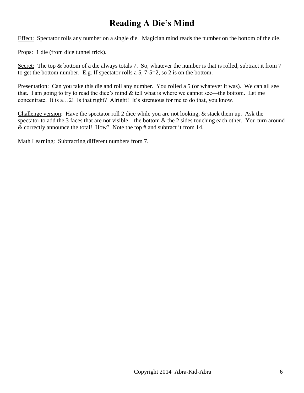### **Reading A Die's Mind**

Effect: Spectator rolls any number on a single die. Magician mind reads the number on the bottom of the die.

Props: 1 die (from dice tunnel trick).

Secret: The top & bottom of a die always totals 7. So, whatever the number is that is rolled, subtract it from 7 to get the bottom number. E.g. If spectator rolls a 5, 7-5=2, so 2 is on the bottom.

Presentation: Can you take this die and roll any number. You rolled a 5 (or whatever it was). We can all see that. I am going to try to read the dice's mind  $\&$  tell what is where we cannot see—the bottom. Let me concentrate. It is a…2! Is that right? Alright! It's strenuous for me to do that, you know.

Challenge version: Have the spectator roll 2 dice while you are not looking, & stack them up. Ask the spectator to add the 3 faces that are not visible—the bottom  $\&$  the 2 sides touching each other. You turn around & correctly announce the total! How? Note the top # and subtract it from 14.

Math Learning: Subtracting different numbers from 7.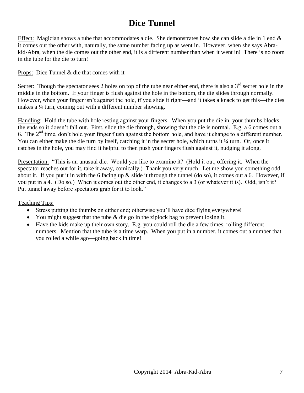### **Dice Tunnel**

Effect: Magician shows a tube that accommodates a die. She demonstrates how she can slide a die in 1 end & it comes out the other with, naturally, the same number facing up as went in. However, when she says Abrakid-Abra, when the die comes out the other end, it is a different number than when it went in! There is no room in the tube for the die to turn!

Props: Dice Tunnel & die that comes with it

Secret: Though the spectator sees 2 holes on top of the tube near either end, there is also a  $3<sup>rd</sup>$  secret hole in the middle in the bottom. If your finger is flush against the hole in the bottom, the die slides through normally. However, when your finger isn't against the hole, if you slide it right—and it takes a knack to get this—the dies makes a ¼ turn, coming out with a different number showing.

Handling: Hold the tube with hole resting against your fingers. When you put the die in, your thumbs blocks the ends so it doesn't fall out. First, slide the die through, showing that the die is normal. E.g. a 6 comes out a 6. The  $2<sup>nd</sup>$  time, don't hold your finger flush against the bottom hole, and have it change to a different number. You can either make the die turn by itself, catching it in the secret hole, which turns it ¼ turn. Or, once it catches in the hole, you may find it helpful to then push your fingers flush against it, nudging it along.

Presentation: "This is an unusual die. Would you like to examine it? (Hold it out, offering it. When the spectator reaches out for it, take it away, comically.) Thank you very much. Let me show you something odd about it. If you put it in with the 6 facing up  $\&$  slide it through the tunnel (do so), it comes out a 6. However, if you put in a 4. (Do so.) When it comes out the other end, it changes to a 3 (or whatever it is). Odd, isn't it? Put tunnel away before spectators grab for it to look."

#### Teaching Tips:

- Stress putting the thumbs on either end; otherwise you'll have dice flying everywhere!
- You might suggest that the tube  $\&$  die go in the ziplock bag to prevent losing it.
- Have the kids make up their own story. E.g. you could roll the die a few times, rolling different numbers. Mention that the tube is a time warp. When you put in a number, it comes out a number that you rolled a while ago—going back in time!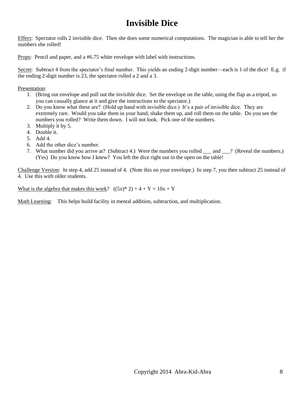# **Invisible Dice**

Effect: Spectator rolls 2 invisible dice. Then she does some numerical computations. The magician is able to tell her the numbers she rolled!

Props: Pencil and paper, and a #6.75 white envelope with label with instructions.

Secret: Subtract 4 from the spectator's final number. This yields an ending 2-digit number—each is 1 of the dice! E.g. if the ending 2-digit number is 23, the spectator rolled a 2 and a 3.

Presentation:

- 1. (Bring out envelope and pull out the invisible dice. Set the envelope on the table, using the flap as a tripod, so you can casually glance at it and give the instructions to the spectator.)
- 2. Do you know what these are? (Hold up hand with invisible dice.) It's a pair of invisible dice. They are extremely rare. Would you take them in your hand, shake them up, and roll them on the table. Do you see the numbers you rolled? Write them down. I will not look. Pick one of the numbers.
- 3. Multiply it by 5.
- 4. Double it.
- 5. Add 4.
- 6. Add the other dice's number.
- 7. What number did you arrive at? (Subtract 4.) Were the numbers you rolled \_\_\_ and \_\_\_? (Reveal the numbers.) (Yes) Do you know how I knew? You left the dice right out in the open on the table!

Challenge Version: In step 4, add 25 instead of 4. (Note this on your envelope.) In step 7, you then subtract 25 instead of 4. Use this with older students.

What is the algebra that makes this work?  $((5x)^* 2) + 4 + Y = 10x + Y$ 

Math Learning: This helps build facility in mental addition, subtraction, and multiplication.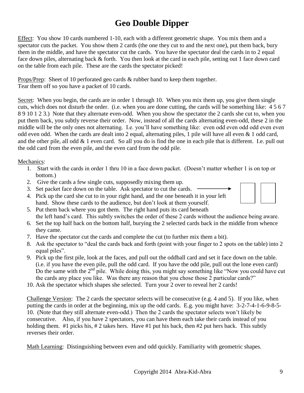# **Geo Double Dipper**

Effect: You show 10 cards numbered 1-10, each with a different geometric shape. You mix them and a spectator cuts the packet. You show them 2 cards (the one they cut to and the next one), put them back, bury them in the middle, and have the spectator cut the cards. You have the spectator deal the cards in to 2 equal face down piles, alternating back & forth. You then look at the card in each pile, setting out 1 face down card on the table from each pile. These are the cards the spectator picked!

Props/Prep: Sheet of 10 perforated geo cards & rubber band to keep them together. Tear them off so you have a packet of 10 cards.

Secret: When you begin, the cards are in order 1 through 10. When you mix them up, you give them single cuts, which does not disturb the order. (i.e. when you are done cutting, the cards will be something like: 4 5 6 7 8 9 10 1 2 3.) Note that they alternate even-odd. When you show the spectator the 2 cards she cut to, when you put them back, you subtly reverse their order. Now, instead of all the cards alternating even-odd, these 2 in the middle will be the only ones not alternating. I.e. you'll have something like: even odd even odd odd even even odd even odd. When the cards are dealt into 2 equal, alternating piles, 1 pile will have all even & 1 odd card, and the other pile, all odd  $& 1$  even card. So all you do is find the one in each pile that is different. I.e. pull out the odd card from the even pile, and the even card from the odd pile.

#### Mechanics:

- 1. Start with the cards in order 1 thru 10 in a face down packet. (Doesn't matter whether 1 is on top or bottom.)
- 2. Give the cards a few single cuts, supposedly mixing them up.
- 3. Set packet face down on the table. Ask spectator to cut the cards.
- 4. Pick up the card she cut to in your right hand, and the one beneath it in your left hand. Show these cards to the audience, but don't look at them yourself.
- 5. Put them back where you got them. The right hand puts its card beneath the left hand's card. This subtly switches the order of these 2 cards without the audience being aware.
- 6. Set the top half back on the bottom half, burying the 2 selected cards back in the middle from whence they came.
- 7. Have the spectator cut the cards and complete the cut (to further mix them a bit).
- 8. Ask the spectator to "deal the cards back and forth (point with your finger to 2 spots on the table) into 2 equal piles".
- 9. Pick up the first pile, look at the faces, and pull out the oddball card and set it face down on the table. (i.e. if you have the even pile, pull the odd card. If you have the odd pile, pull out the lone even card) Do the same with the 2<sup>nd</sup> pile. While doing this, you might say something like "Now you could have cut the cards any place you like. Was there any reason that you chose those 2 particular cards?"
- 10. Ask the spectator which shapes she selected. Turn your 2 over to reveal her 2 cards!

Challenge Version: The 2 cards the spectator selects will be consecutive (e.g. 4 and 5). If you like, when putting the cards in order at the beginning, mix up the odd cards. E.g. you might have: 3-2-7-4-1-6-9-8-5- 10. (Note that they still alternate even-odd.) Then the 2 cards the spectator selects won't likely be consecutive. Also, if you have 2 spectators, you can have them each take their cards instead of you holding them. #1 picks his, #2 takes hers. Have #1 put his back, then #2 put hers back. This subtly reverses their order.

Math Learning: Distinguishing between even and odd quickly. Familiarity with geometric shapes.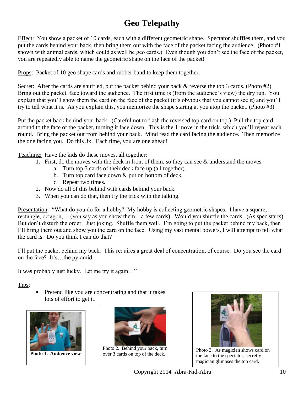# **Geo Telepathy**

Effect: You show a packet of 10 cards, each with a different geometric shape. Spectator shuffles them, and you put the cards behind your back, then bring them out with the face of the packet facing the audience. (Photo #1 shown with animal cards, which could as well be geo cards.) Even though you don't see the face of the packet, you are repeatedly able to name the geometric shape on the face of the packet!

Props: Packet of 10 geo shape cards and rubber band to keep them together.

Secret: After the cards are shuffled, put the packet behind your back  $\&$  reverse the top 3 cards. (Photo #2) Bring out the packet, face toward the audience. The first time is (from the audience's view) the dry run. You explain that you'll show them the card on the face of the packet (it's obvious that you cannot see it) and you'll try to tell what it is. As you explain this, you memorize the shape staring at you atop the packet. (Photo #3)

Put the packet back behind your back. (Careful not to flash the reversed top card on top.) Pull the top card around to the face of the packet, turning it face down. This is the 1 move in the trick, which you'll repeat each round. Bring the packet out from behind your back. Mind read the card facing the audience. Then memorize the one facing you. Do this 3x. Each time, you are one ahead!

Teaching: Have the kids do these moves, all together:

- 1. First, do the moves with the deck in front of them, so they can see & understand the moves.
	- a. Turn top 3 cards of their deck face up (all together).
	- b. Turn top card face down & put on bottom of deck.
	- c. Repeat two times.
- 2. Now do all of this behind with cards behind your back.
- 3. When you can do that, then try the trick with the talking.

Presentation: "What do you do for a hobby? My hobby is collecting geometric shapes. I have a square, rectangle, octagon,… (you say as you show them—a few cards). Would you shuffle the cards. (As spec starts) But don't disturb the order. Just joking. Shuffle them well. I'm going to put the packet behind my back, then I'll bring them out and show you the card on the face. Using my vast mental powers, I will attempt to tell what the card is. Do you think I can do that?

I'll put the packet behind my back. This requires a great deal of concentration, of course. Do you see the card on the face? It's…the pyramid!

It was probably just lucky. Let me try it again…"

Tips:

 Pretend like you are concentrating and that it takes lots of effort to get it.



**Photo 1. Audience view**



Photo 2. Behind your back, turn over 3 cards on top of the deck.



Photo 3. As magician shows card on the face to the spectator, secretly magician glimpses the top card.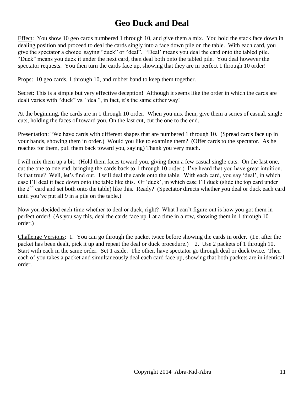### **Geo Duck and Deal**

Effect: You show 10 geo cards numbered 1 through 10, and give them a mix. You hold the stack face down in dealing position and proceed to deal the cards singly into a face down pile on the table. With each card, you give the spectator a choice saying "duck" or "deal". "Deal' means you deal the card onto the tabled pile. "Duck" means you duck it under the next card, then deal both onto the tabled pile. You deal however the spectator requests. You then turn the cards face up, showing that they are in perfect 1 through 10 order!

Props: 10 geo cards, 1 through 10, and rubber band to keep them together.

Secret: This is a simple but very effective deception! Although it seems like the order in which the cards are dealt varies with "duck" vs. "deal", in fact, it's the same either way!

At the beginning, the cards are in 1 through 10 order. When you mix them, give them a series of casual, single cuts, holding the faces of toward you. On the last cut, cut the one to the end.

Presentation: "We have cards with different shapes that are numbered 1 through 10. (Spread cards face up in your hands, showing them in order.) Would you like to examine them? (Offer cards to the spectator. As he reaches for them, pull them back toward you, saying) Thank you very much.

I will mix them up a bit. (Hold them faces toward you, giving them a few casual single cuts. On the last one, cut the one to one end, bringing the cards back to 1 through 10 order.) I've heard that you have great intuition. Is that true? Well, let's find out. I will deal the cards onto the table. With each card, you say 'deal', in which case I'll deal it face down onto the table like this. Or 'duck', in which case I'll duck (slide the top card under the  $2<sup>nd</sup>$  card and set both onto the table) like this. Ready? (Spectator directs whether you deal or duck each card until you've put all 9 in a pile on the table.)

Now you decided each time whether to deal or duck, right? What I can't figure out is how you got them in perfect order! (As you say this, deal the cards face up 1 at a time in a row, showing them in 1 through 10 order.)

Challenge Versions: 1. You can go through the packet twice before showing the cards in order. (I.e. after the packet has been dealt, pick it up and repeat the deal or duck procedure.) 2. Use 2 packets of 1 through 10. Start with each in the same order. Set 1 aside. The other, have spectator go through deal or duck twice. Then each of you takes a packet and simultaneously deal each card face up, showing that both packets are in identical order.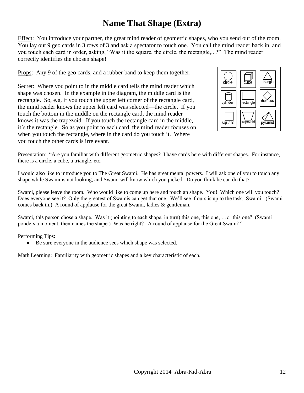### **Name That Shape (Extra)**

Effect: You introduce your partner, the great mind reader of geometric shapes, who you send out of the room. You lay out 9 geo cards in 3 rows of 3 and ask a spectator to touch one. You call the mind reader back in, and you touch each card in order, asking, "Was it the square, the circle, the rectangle,...?" The mind reader correctly identifies the chosen shape!

Props: Any 9 of the geo cards, and a rubber band to keep them together.

Secret: Where you point to in the middle card tells the mind reader which shape was chosen. In the example in the diagram, the middle card is the rectangle. So, e.g. if you touch the upper left corner of the rectangle card, the mind reader knows the upper left card was selected—the circle. If you touch the bottom in the middle on the rectangle card, the mind reader knows it was the trapezoid. If you touch the rectangle card in the middle, it's the rectangle. So as you point to each card, the mind reader focuses on when you touch the rectangle, where in the card do you touch it. Where you touch the other cards is irrelevant.



Presentation: "Are you familiar with different geometric shapes? I have cards here with different shapes. For instance, there is a circle, a cube, a triangle, etc.

I would also like to introduce you to The Great Swami. He has great mental powers. I will ask one of you to touch any shape while Swami is not looking, and Swami will know which you picked. Do you think he can do that?

Swami, please leave the room. Who would like to come up here and touch an shape. You! Which one will you touch? Does everyone see it? Only the greatest of Swamis can get that one. We'll see if ours is up to the task. Swami! (Swami comes back in.) A round of applause for the great Swami, ladies & gentleman.

Swami, this person chose a shape. Was it (pointing to each shape, in turn) this one, this one, …or this one? (Swami ponders a moment, then names the shape.) Was he right? A round of applause for the Great Swami!"

Performing Tips:

Be sure everyone in the audience sees which shape was selected.

Math Learning: Familiarity with geometric shapes and a key characteristic of each.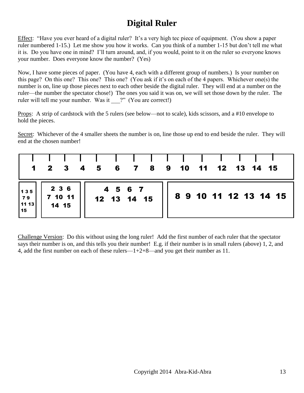# **Digital Ruler**

Effect: "Have you ever heard of a digital ruler? It's a very high tec piece of equipment. (You show a paper ruler numbered 1-15.) Let me show you how it works. Can you think of a number 1-15 but don't tell me what it is. Do you have one in mind? I'll turn around, and, if you would, point to it on the ruler so everyone knows your number. Does everyone know the number? (Yes)

Now, I have some pieces of paper. (You have 4, each with a different group of numbers.) Is your number on this page? On this one? This one? This one? (You ask if it's on each of the 4 papers. Whichever one(s) the number is on, line up those pieces next to each other beside the digital ruler. They will end at a number on the ruler—the number the spectator chose!) The ones you said it was on, we will set those down by the ruler. The ruler will tell me your number. Was it ?" (You are correct!)

Props: A strip of cardstock with the 5 rulers (see below—not to scale), kids scissors, and a #10 envelope to hold the pieces.

Secret: Whichever of the 4 smaller sheets the number is on, line those up end to end beside the ruler. They will end at the chosen number!

|                          | a ka                      | $1 \quad 2 \quad 3 \quad 4 \quad 5$ | <b>Taratta</b>         | and the contract of the |  | 6 7 8 9 10 11 12 13 14 15 |  |                       |
|--------------------------|---------------------------|-------------------------------------|------------------------|-------------------------|--|---------------------------|--|-----------------------|
| 135<br>79<br>11 13<br>15 | 2 3 6<br>7 10 11<br>14 15 |                                     | 4 5 6 7<br>12 13 14 15 |                         |  |                           |  | 8 9 10 11 12 13 14 15 |

Challenge Version: Do this without using the long ruler! Add the first number of each ruler that the spectator says their number is on, and this tells you their number! E.g. if their number is in small rulers (above) 1, 2, and 4, add the first number on each of these rulers—1+2+8—and you get their number as 11.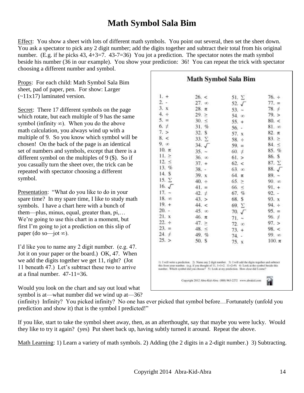### **Math Symbol Sala Bim**

Effect: You show a sheet with lots of different math symbols. You point out several, then set the sheet down. You ask a spectator to pick any 2 digit number; add the digits together and subtract their total from his original number. (E.g. if he picks 43, 4+3=7. 43-7=36) You jot a prediction. The spectator notes the math symbol beside his number (36 in our example). You show your prediction: 36! You can repeat the trick with spectator choosing a different number and symbol.

Props: For each child: Math Symbol Sala Bim sheet, pad of paper, pen. For show: Larger  $(-11x17)$  laminated version.

Secret: There 17 different symbols on the page which rotate, but each multiple of 9 has the same symbol (infinity  $\infty$ ). When you do the above math calculation, you always wind up with a multiple of 9. So you know which symbol will be chosen! On the back of the page is an identical set of numbers and symbols, except that there is a different symbol on the multiples of 9 (\$). So if you casually turn the sheet over, the trick can be repeated with spectator choosing a different symbol.

Presentation: "What do you like to do in your spare time? In my spare time, I like to study math symbols. I have a chart here with a bunch of them—plus, minus, equal, greater than, pi,… We're going to use this chart in a moment, but first I'm going to jot a prediction on this slip of paper (do so—jot ∞).

I'd like you to name any 2 digit number. (e.g. 47. Jot it on your paper or the board.) OK, 47. When we add the digits together we get 11, right? (Jot 11 beneath 47.) Let's subtract these two to arrive at a final number.  $47-11=36$ .

Would you look on the chart and say out loud what symbol is at—what number did we wind up at—36?

### **Math Symbol Sala Bim**

|                | 26. <          | 51. $\Sigma$     | $76. \div$      |
|----------------|----------------|------------------|-----------------|
| $2. -$         | $27.$ $\infty$ | 52. $\sqrt{ }$   | $77. =$         |
| 3. x           | $28. \pi$      | $53. -$          | 78.7            |
| 4.4            | 29. >          | 54. $\infty$     | 79. >           |
| $5. =$         | 30. <          | $55. +$          | 80. <           |
| 6.7            | $31. \%$       | 56.<br>$\omega$  | 81. ∞           |
| 7. >           | 32. S          | 57.<br>$\bf x$   | $82. \pi$       |
| 8. <           | $33. \Sigma$   | $58. \div$       | 83. >           |
| 9.00           | 34. J          | $59. =$          | $84. \le$       |
| $10. \pi$      | $35. -$        | 60. $\neq$       | 85. %           |
| 11. >          | 36. x          | 61. >            | 86. \$          |
| 12. <          | $37. +$        | 62. <            | 87. Y           |
| 13. %          | $38. -$        | 63. x            | $88. \sqrt{ }$  |
| 14. S          | 39. x          | $64. \pi$        | $89. -$         |
| 15. $\Sigma$   | $40. \div$     | 65. >            | $90.$ $\infty$  |
| 16. $\sqrt{ }$ | $41. \equiv$   | 66.<br>$\prec$   | $91. +$         |
| $17. -$        | 42.7           | 67. %            | $92. -$         |
| $18.~\infty$   | 43. >          | 68. S            | 93. X           |
| $19. +$        | 44. <          | 69. $\Sigma$     | $94. \div$      |
| $20. -$        | $45.~\infty$   | 70.<br>$\sqrt{}$ | $95. =$         |
| 21. x          | $46. \pi$      | 71.<br>$\sim$    | $96. \neq$      |
| $22. \div$     | 47. >          | 72.00            | 97. >           |
| $23. =$        | 48. <          | $73. +$          | 98. <           |
| $24. +$        | 49. %          | 74.<br>$\sim$    | $99. \text{ m}$ |
| 25. >          | 50. S          | 75. x            | $100. \pi$      |

(infinity) Infinity? You picked infinity? No one has ever picked that symbol before…Fortunately (unfold you prediction and show it) that is the symbol I predicted!"

If you like, start to take the symbol sheet away, then, as an afterthought, say that maybe you were lucky. Would they like to try it again? (yes) Put sheet back up, having subtly turned it around. Repeat the above.

Math Learning: 1) Learn a variety of math symbols. 2) Adding (the 2 digits in a 2-digit number.) 3) Subtracting.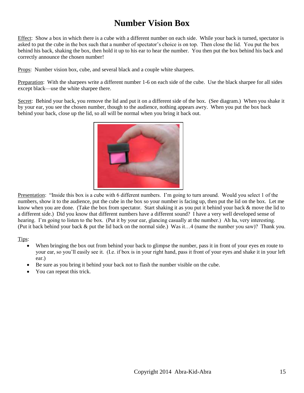# **Number Vision Box**

Effect: Show a box in which there is a cube with a different number on each side. While your back is turned, spectator is asked to put the cube in the box such that a number of spectator's choice is on top. Then close the lid. You put the box behind his back, shaking the box, then hold it up to his ear to hear the number. You then put the box behind his back and correctly announce the chosen number!

Props: Number vision box, cube, and several black and a couple white sharpees.

Preparation: With the sharpees write a different number 1-6 on each side of the cube. Use the black sharpee for all sides except black—use the white sharpee there.

Secret: Behind your back, you remove the lid and put it on a different side of the box. (See diagram.) When you shake it by your ear, you see the chosen number, though to the audience, nothing appears awry. When you put the box back behind your back, close up the lid, so all will be normal when you bring it back out.



Presentation: "Inside this box is a cube with 6 different numbers. I'm going to turn around. Would you select 1 of the numbers, show it to the audience, put the cube in the box so your number is facing up, then put the lid on the box. Let me know when you are done. (Take the box from spectator. Start shaking it as you put it behind your back & move the lid to a different side.) Did you know that different numbers have a different sound? I have a very well developed sense of hearing. I'm going to listen to the box. (Put it by your ear, glancing casually at the number.) Ah ha, very interesting. (Put it back behind your back & put the lid back on the normal side.) Was it…4 (name the number you saw)? Thank you.

Tips:

- When bringing the box out from behind your back to glimpse the number, pass it in front of your eyes en route to your ear, so you'll easily see it. (I.e. if box is in your right hand, pass it front of your eyes and shake it in your left ear.)
- Be sure as you bring it behind your back not to flash the number visible on the cube.
- You can repeat this trick.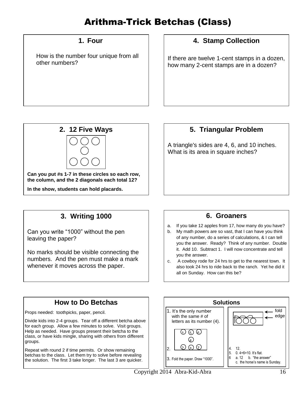# Arithma-Trick Betchas (Class)

### **1. Four**

How is the number four unique from all other numbers?

### **4. Stamp Collection**

If there are twelve 1-cent stamps in a dozen, how many 2-cent stamps are in a dozen?



### **5. Triangular Problem** A triangle's sides are 4, 6, and 10 inches. What is its area in square inches?

### **3. Writing 1000**

Can you write "1000" without the pen leaving the paper?

No marks should be visible connecting the numbers. And the pen must make a mark whenever it moves across the paper.

### **6. Groaners**

- a. If you take 12 apples from 17, how many do you have?
- b. My math powers are so vast, that I can have you think of any number, do a series of calculations, & I can tell you the answer. Ready? Think of any number. Double it. Add 10. Subtract 1. I will now concentrate and tell you the answer.
- c. A cowboy rode for 24 hrs to get to the nearest town. It also took 24 hrs to ride back to the ranch. Yet he did it all on Sunday. How can this be?

### **How to Do Betchas**

Props needed: toothpicks, paper, pencil.

Divide kids into 2-4 groups. Tear off a different betcha above for each group. Allow a few minutes to solve. Visit groups. Help as needed. Have groups present their betcha to the class, or have kids mingle, sharing with others from different groups.

Repeat with round 2 if time permits. Or show remaining betchas to the class. Let them try to solve before revealing the solution. The first 3 take longer. The last 3 are quicker.

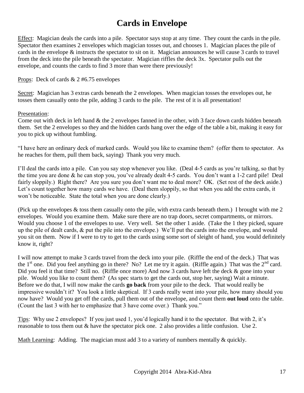# **Cards in Envelope**

Effect: Magician deals the cards into a pile. Spectator says stop at any time. They count the cards in the pile. Spectator then examines 2 envelopes which magician tosses out, and chooses 1. Magician places the pile of cards in the envelope & instructs the spectator to sit on it. Magician announces he will cause 3 cards to travel from the deck into the pile beneath the spectator. Magician riffles the deck 3x. Spectator pulls out the envelope, and counts the cards to find 3 more than were there previously!

#### Props: Deck of cards & 2 #6.75 envelopes

Secret: Magician has 3 extras cards beneath the 2 envelopes. When magician tosses the envelopes out, he tosses them casually onto the pile, adding 3 cards to the pile. The rest of it is all presentation!

#### Presentation:

Come out with deck in left hand & the 2 envelopes fanned in the other, with 3 face down cards hidden beneath them. Set the 2 envelopes so they and the hidden cards hang over the edge of the table a bit, making it easy for you to pick up without fumbling.

"I have here an ordinary deck of marked cards. Would you like to examine them? (offer them to spectator. As he reaches for them, pull them back, saying) Thank you very much.

I'll deal the cards into a pile. Can you say stop whenever you like. (Deal 4-5 cards as you're talking, so that by the time you are done & he can stop you, you've already dealt 4-5 cards. You don't want a 1-2 card pile! Deal fairly sloppily.) Right there? Are you sure you don't want me to deal more? OK. (Set rest of the deck aside.) Let's count together how many cards we have. (Deal them sloppily, so that when you add the extra cards, it won't be noticeable. State the total when you are done clearly.)

(Pick up the envelopes & toss them casually onto the pile, with extra cards beneath them.) I brought with me 2 envelopes. Would you examine them. Make sure there are no trap doors, secret compartments, or mirrors. Would you choose 1 of the envelopes to use. Very well. Set the other 1 aside. (Take the 1 they picked, square up the pile of dealt cards, & put the pile into the envelope.) We'll put the cards into the envelope, and would you sit on them. Now if I were to try to get to the cards using some sort of sleight of hand, you would definitely know it, right?

I will now attempt to make 3 cards travel from the deck into your pile. (Riffle the end of the deck.) That was the  $1<sup>st</sup>$  one. Did you feel anything go in there? No? Let me try it again. (Riffle again.) That was the  $2<sup>nd</sup>$  card. Did you feel it that time? Still no. (Riffle once more) And now 3 cards have left the deck & gone into your pile. Would you like to count them? (As spec starts to get the cards out, stop her, saying) Wait a minute. Before we do that, I will now make the cards **go back** from your pile to the deck. That would really be impressive wouldn't it? You look a little skeptical. If 3 cards really went into your pile, how many should you now have? Would you get off the cards, pull them out of the envelope, and count them **out loud** onto the table. (Count the last 3 with her to emphasize that 3 have come over.) Thank you."

Tips: Why use 2 envelopes? If you just used 1, you'd logically hand it to the spectator. But with 2, it's reasonable to toss them out & have the spectator pick one. 2 also provides a little confusion. Use 2.

Math Learning: Adding. The magician must add 3 to a variety of numbers mentally & quickly.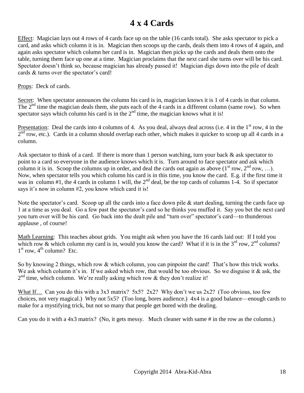### **4 x 4 Cards**

Effect: Magician lays out 4 rows of 4 cards face up on the table (16 cards total). She asks spectator to pick a card, and asks which column it is in. Magician then scoops up the cards, deals them into 4 rows of 4 again, and again asks spectator which column her card is in. Magician then picks up the cards and deals them onto the table, turning them face up one at a time. Magician proclaims that the next card she turns over will be his card. Spectator doesn't think so, because magician has already passed it! Magician digs down into the pile of dealt cards & turns over the spectator's card!

Props: Deck of cards.

Secret: When spectator announces the column his card is in, magician knows it is 1 of 4 cards in that column. The  $2<sup>nd</sup>$  time the magician deals them, she puts each of the 4 cards in a different column (same row). So when spectator says which column his card is in the  $2<sup>nd</sup>$  time, the magician knows what it is!

Presentation: Deal the cards into 4 columns of 4. As you deal, always deal across (i.e. 4 in the  $1<sup>st</sup>$  row, 4 in the  $2<sup>nd</sup>$  row, etc.). Cards in a column should overlap each other, which makes it quicker to scoop up all 4 cards in a column.

Ask spectator to think of a card. If there is more than 1 person watching, turn your back  $\&$  ask spectator to point to a card so everyone in the audience knows which it is. Turn around to face spectator and ask which column it is in. Scoop the columns up in order, and deal the cards out again as above  $(1<sup>st</sup> row, 2<sup>nd</sup> row, ...)$ . Now, when spectator tells you which column his card is in this time, you know the card. E.g. if the first time it was in column #1, the 4 cards in column 1 will, the  $2<sup>nd</sup>$  deal, be the top cards of columns 1-4. So if spectator says it's now in column #2, you know which card it is!

Note the spectator's card. Scoop up all the cards into a face down pile & start dealing, turning the cards face up 1 at a time as you deal. Go a few past the spectator's card so he thinks you muffed it. Say you bet the next card you turn over will be his card. Go back into the dealt pile and "turn over" spectator's card—to thunderous applause , of course!

Math Learning: This teaches about grids. You might ask when you have the 16 cards laid out: If I told you which row & which column my card is in, would you know the card? What if it is in the  $3<sup>rd</sup>$  row,  $2<sup>nd</sup>$  column?  $1<sup>st</sup>$  row,  $4<sup>th</sup>$  column? Etc.

So by knowing 2 things, which row & which column, you can pinpoint the card! That's how this trick works. We ask which column it's in. If we asked which row, that would be too obvious. So we disguise it & ask, the  $2<sup>nd</sup>$  time, which column. We're really asking which row & they don't realize it!

What If… Can you do this with a 3x3 matrix? 5x5? 2x2? Why don't we us 2x2? (Too obvious, too few choices, not very magical.) Why not 5x5? (Too long, bores audience.) 4x4 is a good balance—enough cards to make for a mystifying trick, but not so many that people get bored with the dealing.

Can you do it with a 4x3 matrix? (No, it gets messy. Much cleaner with same # in the row as the column.)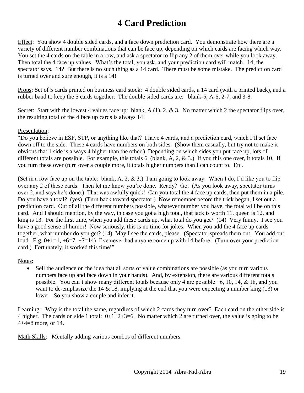## **4 Card Prediction**

Effect: You show 4 double sided cards, and a face down prediction card. You demonstrate how there are a variety of different number combinations that can be face up, depending on which cards are facing which way. You set the 4 cards on the table in a row, and ask a spectator to flip any 2 of them over while you look away. Then total the 4 face up values. What's the total, you ask, and your prediction card will match. 14, the spectator says. 14? But there is no such thing as a 14 card. There must be some mistake. The prediction card is turned over and sure enough, it is a 14!

Props: Set of 5 cards printed on business card stock: 4 double sided cards, a 14 card (with a printed back), and a rubber band to keep the 5 cards together. The double sided cards are: blank-5, A-6, 2-7, and 3-8.

Secret: Start with the lowest 4 values face up: blank, A  $(1)$ , 2, & 3. No matter which 2 the spectator flips over, the resulting total of the 4 face up cards is always 14!

#### Presentation:

"Do you believe in ESP, STP, or anything like that? I have 4 cards, and a prediction card, which I'll set face down off to the side. These 4 cards have numbers on both sides. (Show them casually, but try not to make it obvious that 1 side is always 4 higher than the other.) Depending on which sides you put face up, lots of different totals are possible. For example, this totals 6 (blank, A, 2, & 3.) If you this one over, it totals 10. If you turn these over (turn over a couple more, it totals higher numbers than I can count to. Etc.

(Set in a row face up on the table: blank, A, 2, & 3.) I am going to look away. When I do, I'd like you to flip over any 2 of these cards. Then let me know you're done. Ready? Go. (As you look away, spectator turns over 2, and says he's done.) That was awfully quick! Can you total the 4 face up cards, then put them in a pile. Do you have a total? (yes) (Turn back toward spectator.) Now remember before the trick began, I set out a prediction card. Out of all the different numbers possible, whatever number you have, the total will be on this card. And I should mention, by the way, in case you got a high total, that jack is worth 11, queen is 12, and king is 13. For the first time, when you add these cards up, what total do you get? (14) Very funny. I see you have a good sense of humor! Now seriously, this is no time for jokes. When you add the 4 face up cards together, what number do you get? (14) May I see the cards, please. (Spectator spreads them out. You add out loud. E.g.  $0+1=1, +6=7, +7=14$ ) I've never had anyone come up with 14 before! (Turn over your prediction card.) Fortunately, it worked this time!"

#### Notes:

 Sell the audience on the idea that all sorts of value combinations are possible (as you turn various numbers face up and face down in your hands). And, by extension, there are various different totals possible. You can't show many different totals because only 4 are possible: 6, 10, 14, & 18, and you want to de-emphasize the 14 & 18, implying at the end that you were expecting a number king (13) or lower. So you show a couple and infer it.

Learning: Why is the total the same, regardless of which 2 cards they turn over? Each card on the other side is 4 higher. The cards on side 1 total:  $0+1+2+3=6$ . No matter which 2 are turned over, the value is going to be 4+4=8 more, or 14.

Math Skills: Mentally adding various combos of different numbers.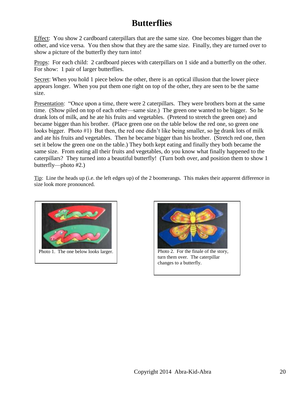### **Butterflies**

Effect: You show 2 cardboard caterpillars that are the same size. One becomes bigger than the other, and vice versa. You then show that they are the same size. Finally, they are turned over to show a picture of the butterfly they turn into!

Props: For each child: 2 cardboard pieces with caterpillars on 1 side and a butterfly on the other. For show: 1 pair of larger butterflies.

Secret: When you hold 1 piece below the other, there is an optical illusion that the lower piece appears longer. When you put them one right on top of the other, they are seen to be the same size.

Presentation: "Once upon a time, there were 2 caterpillars. They were brothers born at the same time. (Show piled on top of each other—same size.) The green one wanted to be bigger. So he drank lots of milk, and he ate his fruits and vegetables. (Pretend to stretch the green one) and became bigger than his brother. (Place green one on the table below the red one, so green one looks bigger. Photo #1) But then, the red one didn't like being smaller, so he drank lots of milk and ate his fruits and vegetables. Then he became bigger than his brother. (Stretch red one, then set it below the green one on the table.) They both kept eating and finally they both became the same size. From eating all their fruits and vegetables, do you know what finally happened to the caterpillars? They turned into a beautiful butterfly! (Turn both over, and position them to show 1 butterfly—photo #2.)

Tip: Line the heads up (i.e. the left edges up) of the 2 boomerangs. This makes their apparent difference in size look more pronounced.





turn them over. The caterpillar changes to a butterfly.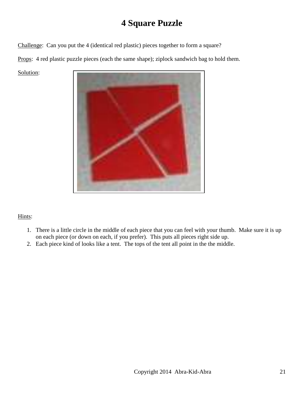### **4 Square Puzzle**

Challenge: Can you put the 4 (identical red plastic) pieces together to form a square?

Props: 4 red plastic puzzle pieces (each the same shape); ziplock sandwich bag to hold them.

Solution:



#### Hints:

- 1. There is a little circle in the middle of each piece that you can feel with your thumb. Make sure it is up on each piece (or down on each, if you prefer). This puts all pieces right side up.
- 2. Each piece kind of looks like a tent. The tops of the tent all point in the the middle.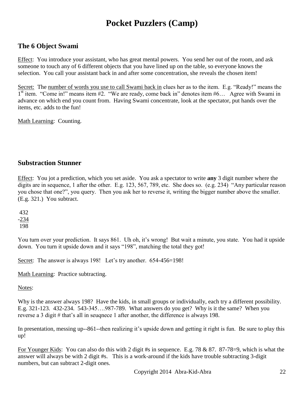# **Pocket Puzzlers (Camp)**

### **The 6 Object Swami**

Effect: You introduce your assistant, who has great mental powers. You send her out of the room, and ask someone to touch any of 6 different objects that you have lined up on the table, so everyone knows the selection. You call your assistant back in and after some concentration, she reveals the chosen item!

Secret: The number of words you use to call Swami back in clues her as to the item. E.g. "Ready!" means the  $1<sup>st</sup>$  item. "Come in!" means item #2. "We are ready, come back in" denotes item #6... Agree with Swami in advance on which end you count from. Having Swami concentrate, look at the spectator, put hands over the items, etc. adds to the fun!

Math Learning: Counting.

#### **Substraction Stunner**

Effect: You jot a prediction, which you set aside. You ask a spectator to write **any** 3 digit number where the digits are in sequence, 1 after the other. E.g. 123, 567, 789, etc. She does so. (e.g. 234) "Any particular reason you chose that one?", you query. Then you ask her to reverse it, writing the bigger number above the smaller. (E.g. 321.) You subtract.

432 -234 198

You turn over your prediction. It says 861. Uh oh, it's wrong! But wait a minute, you state. You had it upside down. You turn it upside down and it says "198", matching the total they got!

Secret: The answer is always 198! Let's try another. 654-456=198!

Math Learning: Practice subtracting.

Notes:

Why is the answer always 198? Have the kids, in small groups or individually, each try a different possibility. E.g. 321-123. 432-234. 543-345….987-789. What answers do you get? Why is it the same? When you reverse a 3 digit # that's all in seuqnece 1 after another, the difference is always 198.

In presentation, messing up--861--then realizing it's upside down and getting it right is fun. Be sure to play this up!

For Younger Kids: You can also do this with 2 digit #s in sequence. E.g. 78 & 87. 87-78=9, which is what the answer will always be with 2 digit #s. This is a work-around if the kids have trouble subtracting 3-digit numbers, but can subtract 2-digit ones.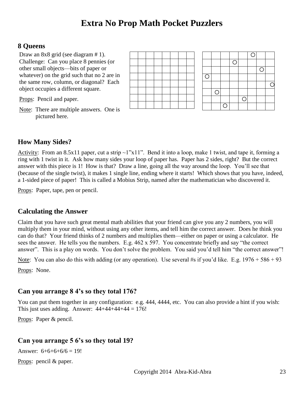### **Extra No Prop Math Pocket Puzzlers**

#### **8 Queens**

Draw an  $8x8$  grid (see diagram # 1). the same row, column, or diagonal? Each Challenge: Can you place 8 pennies (or other small objects—bits of paper or whatever) on the grid such that no 2 are in object occupies a different square.

Props: Pencil and paper.

Note: There are multiple answers. One is pictured here.



### **How Many Sides?**

Activity: From an 8.5x11 paper, cut a strip ~1"x11". Bend it into a loop, make 1 twist, and tape it, forming a ring with 1 twist in it. Ask how many sides your loop of paper has. Paper has 2 sides, right? But the correct answer with this piece is 1! How is that? Draw a line, going all the way around the loop. You'll see that (because of the single twist), it makes 1 single line, ending where it starts! Which shows that you have, indeed, a 1-sided piece of paper! This is called a Mobius Strip, named after the mathematician who discovered it.

Props: Paper, tape, pen or pencil.

### **Calculating the Answer**

Claim that you have such great mental math abilities that your friend can give you any 2 numbers, you will multiply them in your mind, without using any other items, and tell him the correct answer. Does he think you can do that? Your friend thinks of 2 numbers and multiplies them—either on paper or using a calculator. He sees the answer. He tells you the numbers. E.g. 462 x 597. You concentrate briefly and say "the correct answer". This is a play on words. You don't solve the problem. You said you'd tell him "the correct answer"!

Note: You can also do this with adding (or any operation). Use several #s if you'd like. E.g. 1976 + 586 + 93

Props: None.

### **Can you arrange 8 4's so they total 176?**

You can put them together in any configuration: e.g. 444, 4444, etc. You can also provide a hint if you wish: This just uses adding. Answer:  $44+44+44+44 = 176!$ 

Props: Paper & pencil.

### **Can you arrange 5 6's so they total 19?**

Answer:  $6+6+6+6=19!$ 

Props: pencil & paper.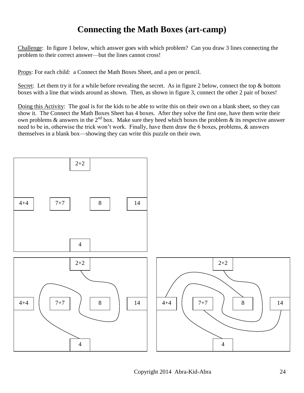### **Connecting the Math Boxes (art-camp)**

Challenge: In figure 1 below, which answer goes with which problem? Can you draw 3 lines connecting the problem to their correct answer—but the lines cannot cross!

Props: For each child: a Connect the Math Boxes Sheet, and a pen or pencil.

Secret: Let them try it for a while before revealing the secret. As in figure 2 below, connect the top & bottom boxes with a line that winds around as shown. Then, as shown in figure 3, connect the other 2 pair of boxes!

Doing this Activity: The goal is for the kids to be able to write this on their own on a blank sheet, so they can show it. The Connect the Math Boxes Sheet has 4 boxes. After they solve the first one, have them write their own problems  $\&$  answers in the 2<sup>nd</sup> box. Make sure they heed which boxes the problem  $\&$  its respective answer need to be in, otherwise the trick won't work. Finally, have them draw the 6 boxes, problems, & answers themselves in a blank box—showing they can write this puzzle on their own.

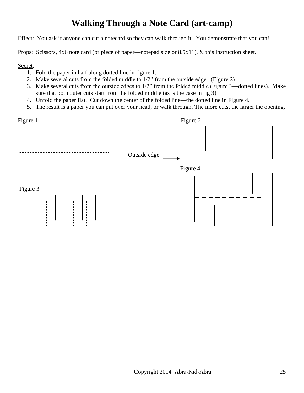# **Walking Through a Note Card (art-camp)**

Effect: You ask if anyone can cut a notecard so they can walk through it. You demonstrate that you can!

Props: Scissors, 4x6 note card (or piece of paper—notepad size or 8.5x11), & this instruction sheet.

Secret:

- 1. Fold the paper in half along dotted line in figure 1.
- 2. Make several cuts from the folded middle to 1/2" from the outside edge. (Figure 2)
- 3. Make several cuts from the outside edges to 1/2" from the folded middle (Figure 3—dotted lines). Make sure that both outer cuts start from the folded middle (as is the case in fig 3)
- 4. Unfold the paper flat. Cut down the center of the folded line—the dotted line in Figure 4.
- 5. The result is a paper you can put over your head, or walk through. The more cuts, the larger the opening.

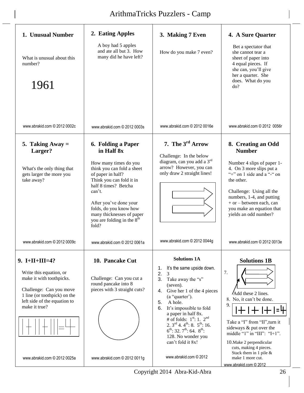| 1. Unusual Number<br>What is unusual about this<br>number?<br>1961                                                                                                                  | 2. Eating Apples<br>A boy had 5 apples<br>and ate all but 3. How<br>many did he have left?                                                                                                                                                                                                           | 3. Making 7 Even<br>How do you make 7 even?                                                                                                                                                                                                                                                                                                                                                                                                      | 4. A Sure Quarter<br>Bet a spectator that<br>she cannot tear a<br>sheet of paper into<br>4 equal pieces. If<br>she can, you'll give<br>her a quarter. She<br>does. What do you<br>do?                                                                                                    |
|-------------------------------------------------------------------------------------------------------------------------------------------------------------------------------------|------------------------------------------------------------------------------------------------------------------------------------------------------------------------------------------------------------------------------------------------------------------------------------------------------|--------------------------------------------------------------------------------------------------------------------------------------------------------------------------------------------------------------------------------------------------------------------------------------------------------------------------------------------------------------------------------------------------------------------------------------------------|------------------------------------------------------------------------------------------------------------------------------------------------------------------------------------------------------------------------------------------------------------------------------------------|
| www.abrakid.com © 2012 0002c                                                                                                                                                        | www.abrakid.com © 2012 0003s                                                                                                                                                                                                                                                                         | www.abrakid.com © 2012 0016e                                                                                                                                                                                                                                                                                                                                                                                                                     | www.abrakid.com © 2012 0056r                                                                                                                                                                                                                                                             |
| 5. Taking Away $=$<br>Larger?<br>What's the only thing that<br>gets larger the more you<br>take away?                                                                               | 6. Folding a Paper<br>in Half 8x<br>How many times do you<br>think you can fold a sheet<br>of paper in half?<br>Think you can fold it in<br>half 8 times? Betcha<br>can't.<br>After you've done your<br>folds, do you know how<br>many thicknesses of paper<br>you are folding in the $8th$<br>fold? | 7. The 3 <sup>rd</sup> Arrow<br>Challenge: In the below<br>diagram, can you add a 3rd<br>arrow? However, you can<br>only draw 2 straight lines!                                                                                                                                                                                                                                                                                                  | 8. Creating an Odd<br><b>Number</b><br>Number 4 slips of paper 1-<br>4. On 3 more slips put a<br>"+" on 1 side and a "-" on<br>the other.<br>Challenge: Using all the<br>numbers, 1-4, and putting<br>$+$ or $-$ between each, can<br>you make an equation that<br>yields an odd number? |
| www.abrakid.com © 2012 0009c                                                                                                                                                        | www.abrakid.com © 2012 0061a                                                                                                                                                                                                                                                                         | www.abrakid.com © 2012 0044g                                                                                                                                                                                                                                                                                                                                                                                                                     | www.abrakid.com © 2012 0013e                                                                                                                                                                                                                                                             |
| $9. I+II+III=4?$<br>Write this equation, or<br>make it with toothpicks.<br>Challenge: Can you move<br>1 line (or toothpick) on the<br>left side of the equation to<br>make it true? | 10. Pancake Cut<br>Challenge: Can you cut a<br>round pancake into 8<br>pieces with 3 straight cuts?                                                                                                                                                                                                  | <b>Solutions 1A</b><br>It's the same upside down.<br>1.<br>2.<br>$\overline{3}$<br>3.<br>Take away the "s"<br>(seven).<br>Give her 1 of the 4 pieces<br>4.<br>(a "quarter").<br>5.<br>A hole.<br>6.<br>It's impossible to fold<br>a paper in half 8x.<br># of folds: $1st$ : 1. $2nd$<br>2. $3^{\text{rd}}$ 4. $4^{\text{th}}$ : 8. $5^{\text{th}}$ : 16.<br>$6^{th}$ : 32. $7^{th}$ : 64. $8^{th}$ :<br>128. No wonder you<br>can't fold it 8x! | <b>Solutions 1B</b><br>7.<br>Add these 2 lines.<br>8. No, it can't be done.<br>9.<br>Take a "I" from "II", turn it<br>sideways & put over the<br>middle "1" in "III": " $I+1$ ".<br>10. Make 2 perpendicular<br>cuts, making 4 pieces.                                                   |
| www.abrakid.com © 2012 0025a                                                                                                                                                        | www.abrakid.com © 2012 0011g                                                                                                                                                                                                                                                                         | www.abrakid.com © 2012                                                                                                                                                                                                                                                                                                                                                                                                                           | Stack them in 1 pile &<br>make 1 more cut.<br>www.abrakid.com © 2012                                                                                                                                                                                                                     |

Copyright 2014 Abra-Kid-Abra 26